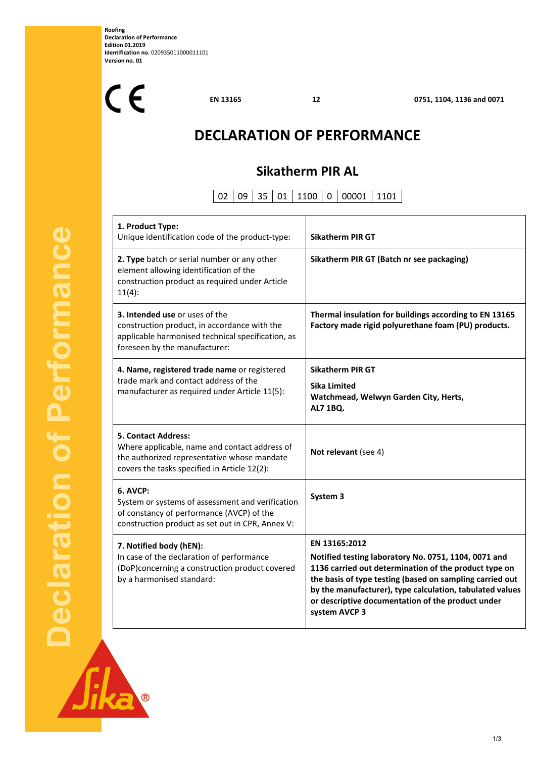**Roofing Declaration of Performance Edition 01.2019 Identification no.** 020935011000011101 **Version no. 01** 

 $C<sub>f</sub>$ 

**EN 13165 12 0751, 1104, 1136 and 0071**

# **DECLARATION OF PERFORMANCE**

## **Sikatherm PIR AL**

02 09 35 01 1100 0 00001 1101

Τ

| 1. Product Type:<br>Unique identification code of the product-type:                                                                                                        | <b>Sikatherm PIR GT</b>                                                                                                                                                                                                                                                                                                      |
|----------------------------------------------------------------------------------------------------------------------------------------------------------------------------|------------------------------------------------------------------------------------------------------------------------------------------------------------------------------------------------------------------------------------------------------------------------------------------------------------------------------|
| 2. Type batch or serial number or any other<br>element allowing identification of the<br>construction product as required under Article<br>$11(4)$ :                       | Sikatherm PIR GT (Batch nr see packaging)                                                                                                                                                                                                                                                                                    |
| 3. Intended use or uses of the<br>construction product, in accordance with the<br>applicable harmonised technical specification, as<br>foreseen by the manufacturer:       | Thermal insulation for buildings according to EN 13165<br>Factory made rigid polyurethane foam (PU) products.                                                                                                                                                                                                                |
| 4. Name, registered trade name or registered<br>trade mark and contact address of the<br>manufacturer as required under Article 11(5):                                     | <b>Sikatherm PIR GT</b><br>Sika Limited<br>Watchmead, Welwyn Garden City, Herts,<br><b>AL7 1BQ.</b>                                                                                                                                                                                                                          |
| <b>5. Contact Address:</b><br>Where applicable, name and contact address of<br>the authorized representative whose mandate<br>covers the tasks specified in Article 12(2): | Not relevant (see 4)                                                                                                                                                                                                                                                                                                         |
| 6. AVCP:<br>System or systems of assessment and verification<br>of constancy of performance (AVCP) of the<br>construction product as set out in CPR, Annex V:              | System 3                                                                                                                                                                                                                                                                                                                     |
| 7. Notified body (hEN):<br>In case of the declaration of performance<br>(DoP)concerning a construction product covered<br>by a harmonised standard:                        | EN 13165:2012<br>Notified testing laboratory No. 0751, 1104, 0071 and<br>1136 carried out determination of the product type on<br>the basis of type testing (based on sampling carried out<br>by the manufacturer), type calculation, tabulated values<br>or descriptive documentation of the product under<br>system AVCP 3 |

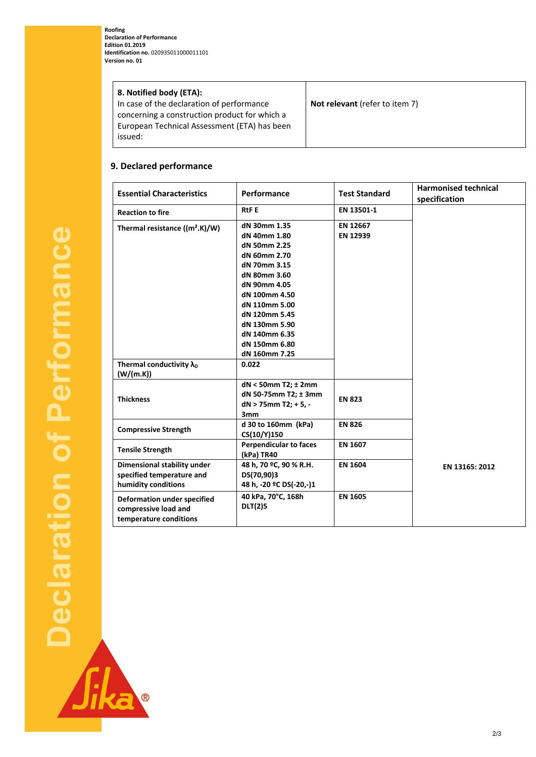**Roofing Declaration of Performance Edition 01.2019 Identification no.** 020935011000011101 **Version no. 01** 

| 8. Notified body (ETA):                       |                                       |
|-----------------------------------------------|---------------------------------------|
| In case of the declaration of performance     | <b>Not relevant</b> (refer to item 7) |
| concerning a construction product for which a |                                       |
| European Technical Assessment (ETA) has been  |                                       |
| issued:                                       |                                       |
|                                               |                                       |

### **9. Declared performance**

B

| <b>Essential Characteristics</b>                                                     | Performance                                 | <b>Test Standard</b> | <b>Harmonised technical</b><br>specification |
|--------------------------------------------------------------------------------------|---------------------------------------------|----------------------|----------------------------------------------|
| <b>Reaction to fire</b>                                                              | <b>RtFE</b>                                 | EN 13501-1           |                                              |
| Thermal resistance $((m2.K)/W)$                                                      | dN 30mm 1.35<br>dN 40mm 1.80                | EN 12667<br>EN 12939 |                                              |
|                                                                                      | dN 50mm 2.25                                |                      |                                              |
|                                                                                      | dN 60mm 2.70                                |                      |                                              |
|                                                                                      | dN 70mm 3.15                                |                      |                                              |
|                                                                                      | dN 80mm 3.60                                |                      |                                              |
|                                                                                      | dN 90mm 4.05                                |                      |                                              |
|                                                                                      | dN 100mm 4.50                               |                      |                                              |
|                                                                                      | dN 110mm 5.00                               |                      |                                              |
|                                                                                      | dN 120mm 5.45                               |                      |                                              |
|                                                                                      | dN 130mm 5.90                               |                      |                                              |
|                                                                                      | dN 140mm 6.35                               |                      |                                              |
|                                                                                      | dN 150mm 6.80                               |                      |                                              |
|                                                                                      | dN 160mm 7.25                               |                      |                                              |
| Thermal conductivity $\lambda_{D}$                                                   | 0.022                                       |                      |                                              |
| (W/(m.K))                                                                            |                                             |                      |                                              |
| <b>Thickness</b>                                                                     | dN < 50mm T2; ± 2mm                         |                      |                                              |
|                                                                                      | dN 50-75mm T2; ± 3mm                        | <b>EN 823</b>        |                                              |
|                                                                                      | $dN > 75$ mm T2; + 5, -                     |                      |                                              |
|                                                                                      | 3mm                                         |                      |                                              |
| <b>Compressive Strength</b>                                                          | d 30 to 160mm (kPa)                         | <b>EN 826</b>        |                                              |
|                                                                                      | CS(10/Y)150                                 |                      |                                              |
| <b>Tensile Strength</b>                                                              | <b>Perpendicular to faces</b><br>(kPa) TR40 | EN 1607              |                                              |
| Dimensional stability under                                                          | 48 h, 70 °C, 90 % R.H.                      | <b>EN 1604</b>       | EN 13165: 2012                               |
| specified temperature and                                                            | DS(70,90)3                                  |                      |                                              |
| humidity conditions                                                                  | 48 h, -20 °C DS(-20,-)1                     |                      |                                              |
| <b>Deformation under specified</b><br>compressive load and<br>temperature conditions | 40 kPa, 70°C, 168h<br><b>DLT(2)5</b>        | <b>EN 1605</b>       |                                              |